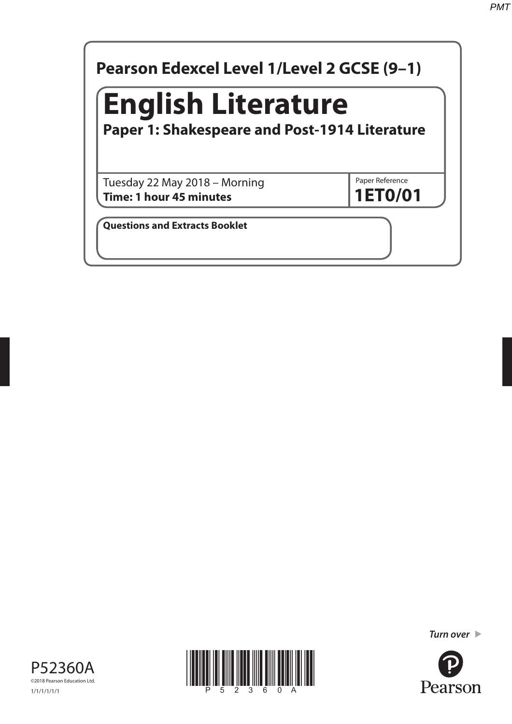# Paper Reference **1ET0/01 Questions and Extracts Booklet English Literature Paper 1: Shakespeare and Post-1914 Literature Pearson Edexcel Level 1/Level 2 GCSE (9–1)** Tuesday 22 May 2018 – Morning **Time: 1 hour 45 minutes**

P52360A ©2018 Pearson Education Ltd.



*Turn over* 

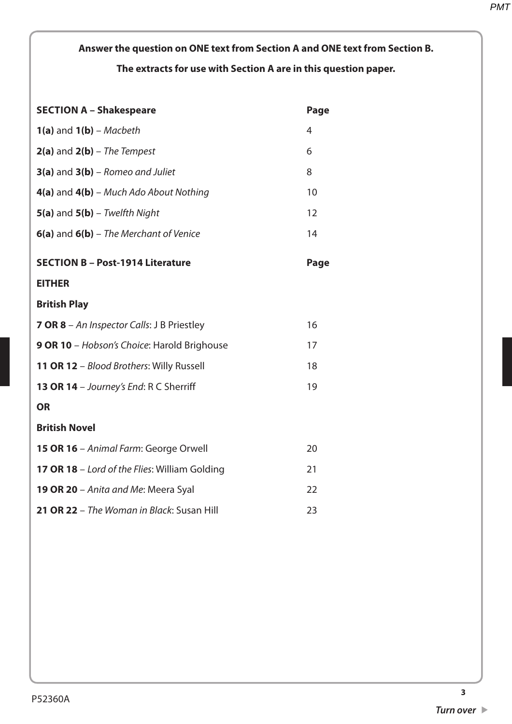## **Answer the question on ONE text from Section A and ONE text from Section B. The extracts for use with Section A are in this question paper.**

| <b>SECTION A - Shakespeare</b>                       | Page |
|------------------------------------------------------|------|
| 1(a) and $1(b)$ – Macbeth                            | 4    |
| $2(a)$ and $2(b)$ - The Tempest                      | 6    |
| $3(a)$ and $3(b)$ – Romeo and Juliet                 | 8    |
| $4(a)$ and $4(b)$ – Much Ado About Nothing           | 10   |
| 5(a) and $5(b)$ – Twelfth Night                      | 12   |
| 6(a) and $6(b)$ – The Merchant of Venice             | 14   |
| <b>SECTION B - Post-1914 Literature</b>              | Page |
| <b>EITHER</b>                                        |      |
| <b>British Play</b>                                  |      |
| 7 OR 8 - An Inspector Calls: J B Priestley           | 16   |
| 9 OR 10 - Hobson's Choice: Harold Brighouse          | 17   |
| 11 OR 12 - Blood Brothers: Willy Russell             | 18   |
| 13 OR 14 - Journey's End: R C Sherriff               | 19   |
| <b>OR</b>                                            |      |
| <b>British Novel</b>                                 |      |
| 15 OR 16 - Animal Farm: George Orwell                | 20   |
| <b>17 OR 18</b> - Lord of the Flies: William Golding | 21   |
| 19 OR 20 - Anita and Me: Meera Syal                  | 22   |
| 21 OR 22 - The Woman in Black: Susan Hill            | 23   |
|                                                      |      |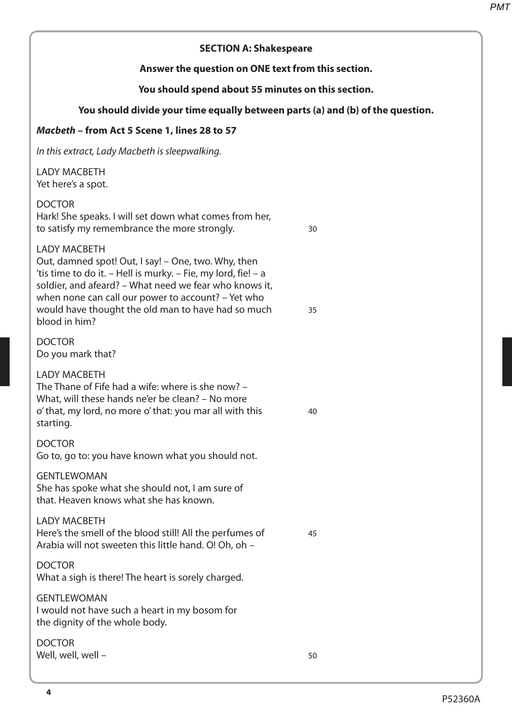| <b>SECTION A: Shakespeare</b>                                                                                                                                                                                                                                                                                                      |    |
|------------------------------------------------------------------------------------------------------------------------------------------------------------------------------------------------------------------------------------------------------------------------------------------------------------------------------------|----|
| Answer the question on ONE text from this section.                                                                                                                                                                                                                                                                                 |    |
| You should spend about 55 minutes on this section.                                                                                                                                                                                                                                                                                 |    |
| You should divide your time equally between parts (a) and (b) of the question.                                                                                                                                                                                                                                                     |    |
| Macbeth - from Act 5 Scene 1, lines 28 to 57                                                                                                                                                                                                                                                                                       |    |
| In this extract, Lady Macbeth is sleepwalking.                                                                                                                                                                                                                                                                                     |    |
| <b>LADY MACBETH</b><br>Yet here's a spot.                                                                                                                                                                                                                                                                                          |    |
| <b>DOCTOR</b><br>Hark! She speaks. I will set down what comes from her,<br>to satisfy my remembrance the more strongly.                                                                                                                                                                                                            | 30 |
| <b>LADY MACBETH</b><br>Out, damned spot! Out, I say! - One, two. Why, then<br>'tis time to do it. - Hell is murky. - Fie, my lord, fie! - a<br>soldier, and afeard? – What need we fear who knows it,<br>when none can call our power to account? - Yet who<br>would have thought the old man to have had so much<br>blood in him? | 35 |
| <b>DOCTOR</b><br>Do you mark that?                                                                                                                                                                                                                                                                                                 |    |
| <b>LADY MACBETH</b><br>The Thane of Fife had a wife: where is she now? -<br>What, will these hands ne'er be clean? - No more<br>o' that, my lord, no more o' that: you mar all with this<br>starting.                                                                                                                              | 40 |
| <b>DOCTOR</b><br>Go to, go to: you have known what you should not.                                                                                                                                                                                                                                                                 |    |
| <b>GENTLEWOMAN</b><br>She has spoke what she should not, I am sure of<br>that. Heaven knows what she has known.                                                                                                                                                                                                                    |    |
| <b>LADY MACBETH</b><br>Here's the smell of the blood still! All the perfumes of<br>Arabia will not sweeten this little hand. O! Oh, oh -                                                                                                                                                                                           | 45 |
| <b>DOCTOR</b><br>What a sigh is there! The heart is sorely charged.                                                                                                                                                                                                                                                                |    |
| <b>GENTLEWOMAN</b><br>I would not have such a heart in my bosom for<br>the dignity of the whole body.                                                                                                                                                                                                                              |    |
| <b>DOCTOR</b><br>Well, well, well -                                                                                                                                                                                                                                                                                                | 50 |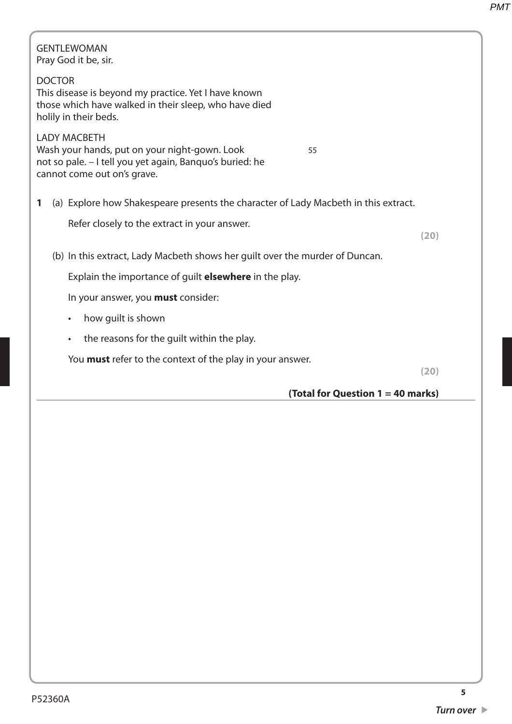| <b>GENTLEWOMAN</b><br>Pray God it be, sir.                                                                                                                            |      |
|-----------------------------------------------------------------------------------------------------------------------------------------------------------------------|------|
| <b>DOCTOR</b><br>This disease is beyond my practice. Yet I have known<br>those which have walked in their sleep, who have died<br>holily in their beds.               |      |
| <b>LADY MACBETH</b><br>Wash your hands, put on your night-gown. Look<br>55<br>not so pale. - I tell you yet again, Banquo's buried: he<br>cannot come out on's grave. |      |
| (a) Explore how Shakespeare presents the character of Lady Macbeth in this extract.<br>1                                                                              |      |
| Refer closely to the extract in your answer.                                                                                                                          | (20) |
| (b) In this extract, Lady Macbeth shows her guilt over the murder of Duncan.                                                                                          |      |
| Explain the importance of guilt elsewhere in the play.                                                                                                                |      |
| In your answer, you <b>must</b> consider:                                                                                                                             |      |
| how guilt is shown<br>$\bullet$                                                                                                                                       |      |
| the reasons for the guilt within the play.<br>$\bullet$                                                                                                               |      |
| You <b>must</b> refer to the context of the play in your answer.                                                                                                      | (20) |
| (Total for Question 1 = 40 marks)                                                                                                                                     |      |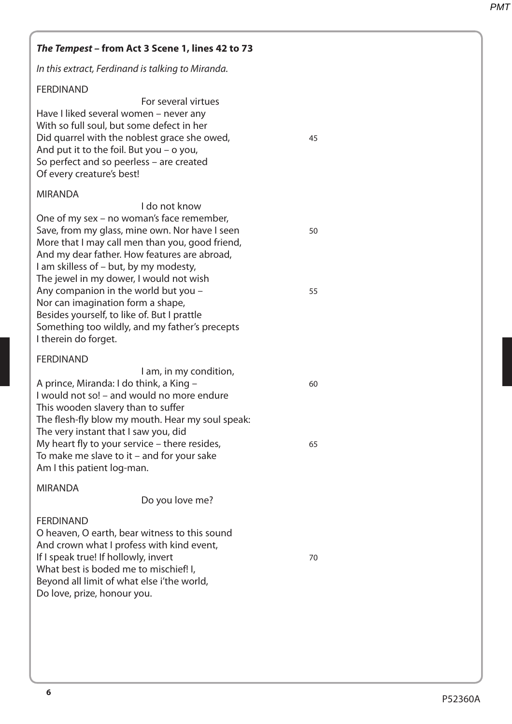## *The Tempest –* **from Act 3 Scene 1, lines 42 to 73**

In this extract, Ferdinand is talking to Miranda.

## FERDINAND

For several virtues Have I liked several women – never any With so full soul, but some defect in her Did quarrel with the noblest grace she owed,  $45$ And put it to the foil. But you – o you, So perfect and so peerless – are created Of every creature's best!

## MIRANDA

 I do not know One of my sex – no woman's face remember, Save, from my glass, mine own. Nor have I seen 50 More that I may call men than you, good friend, And my dear father. How features are abroad, I am skilless of – but, by my modesty, The jewel in my dower, I would not wish Any companion in the world but you – 55 Nor can imagination form a shape, Besides yourself, to like of. But I prattle Something too wildly, and my father's precepts I therein do forget.

## MIRANDA

Do you love me?

## FERDINAND

O heaven, O earth, bear witness to this sound And crown what I profess with kind event, If I speak true! If hollowly, invert 70 What best is boded me to mischief! I, Beyond all limit of what else i'the world, Do love, prize, honour you.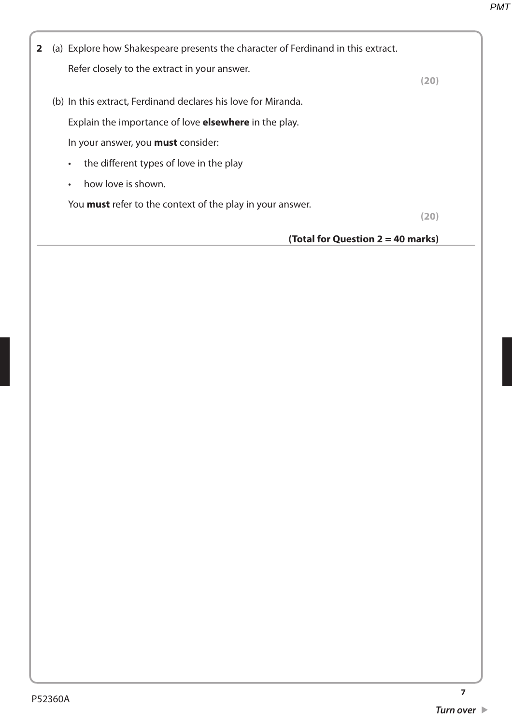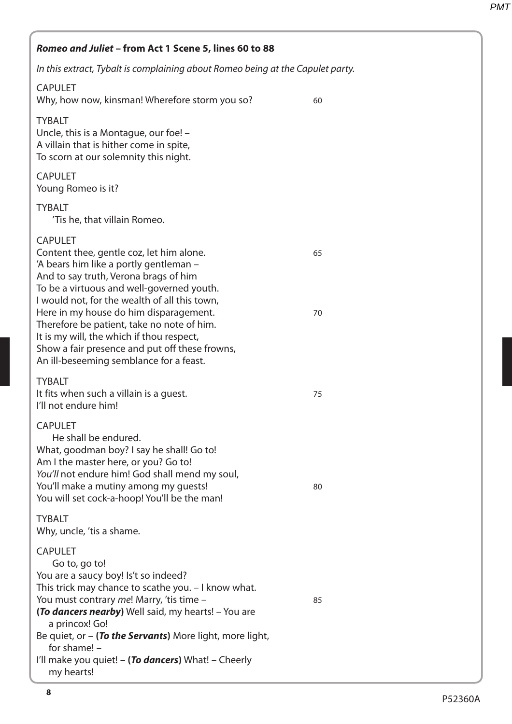| Romeo and Juliet - from Act 1 Scene 5, lines 60 to 88                                                                                                                                                                                                                                                                                                                                    |    |
|------------------------------------------------------------------------------------------------------------------------------------------------------------------------------------------------------------------------------------------------------------------------------------------------------------------------------------------------------------------------------------------|----|
| In this extract, Tybalt is complaining about Romeo being at the Capulet party.                                                                                                                                                                                                                                                                                                           |    |
| <b>CAPULET</b><br>Why, how now, kinsman! Wherefore storm you so?                                                                                                                                                                                                                                                                                                                         | 60 |
| <b>TYBALT</b><br>Uncle, this is a Montague, our foe! -<br>A villain that is hither come in spite,<br>To scorn at our solemnity this night.                                                                                                                                                                                                                                               |    |
| <b>CAPULET</b><br>Young Romeo is it?                                                                                                                                                                                                                                                                                                                                                     |    |
| <b>TYBALT</b><br>'Tis he, that villain Romeo.                                                                                                                                                                                                                                                                                                                                            |    |
| <b>CAPULET</b><br>Content thee, gentle coz, let him alone.<br>'A bears him like a portly gentleman -<br>And to say truth, Verona brags of him<br>To be a virtuous and well-governed youth.                                                                                                                                                                                               | 65 |
| I would not, for the wealth of all this town,<br>Here in my house do him disparagement.<br>Therefore be patient, take no note of him.<br>It is my will, the which if thou respect,<br>Show a fair presence and put off these frowns,<br>An ill-beseeming semblance for a feast.                                                                                                          | 70 |
| <b>TYBALT</b><br>It fits when such a villain is a guest.<br>I'll not endure him!                                                                                                                                                                                                                                                                                                         | 75 |
| <b>CAPULET</b><br>He shall be endured.<br>What, goodman boy? I say he shall! Go to!<br>Am I the master here, or you? Go to!<br>You'll not endure him! God shall mend my soul,<br>You'll make a mutiny among my guests!<br>You will set cock-a-hoop! You'll be the man!                                                                                                                   | 80 |
| <b>TYBALT</b><br>Why, uncle, 'tis a shame.                                                                                                                                                                                                                                                                                                                                               |    |
| <b>CAPULET</b><br>Go to, go to!<br>You are a saucy boy! Is't so indeed?<br>This trick may chance to scathe you. - I know what.<br>You must contrary me! Marry, 'tis time -<br>(To dancers nearby) Well said, my hearts! - You are<br>a princox! Go!<br>Be quiet, or – (To the Servants) More light, more light,<br>for shame! $-$<br>I'll make you quiet! – (To dancers) What! – Cheerly | 85 |
| my hearts!                                                                                                                                                                                                                                                                                                                                                                               |    |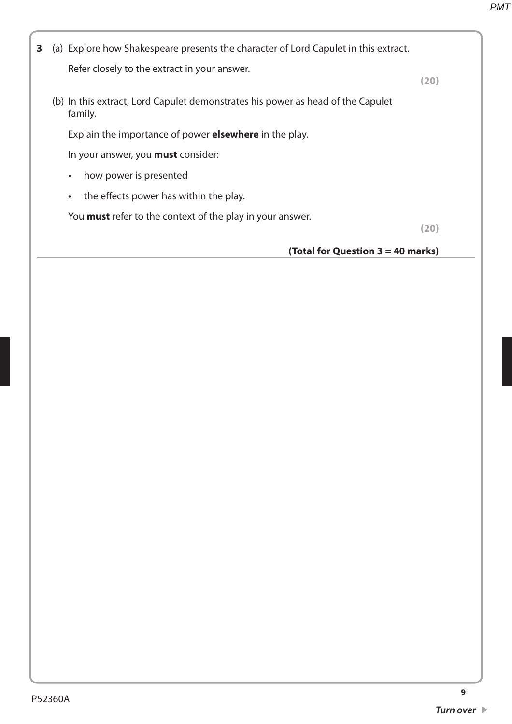| 3 | (a) Explore how Shakespeare presents the character of Lord Capulet in this extract.        |      |
|---|--------------------------------------------------------------------------------------------|------|
|   | Refer closely to the extract in your answer.                                               | (20) |
|   | (b) In this extract, Lord Capulet demonstrates his power as head of the Capulet<br>family. |      |
|   | Explain the importance of power <b>elsewhere</b> in the play.                              |      |
|   | In your answer, you <b>must</b> consider:                                                  |      |
|   | how power is presented<br>$\bullet$                                                        |      |
|   | the effects power has within the play.<br>$\bullet$                                        |      |
|   | You <b>must</b> refer to the context of the play in your answer.                           | (20) |
|   | (Total for Question $3 = 40$ marks)                                                        |      |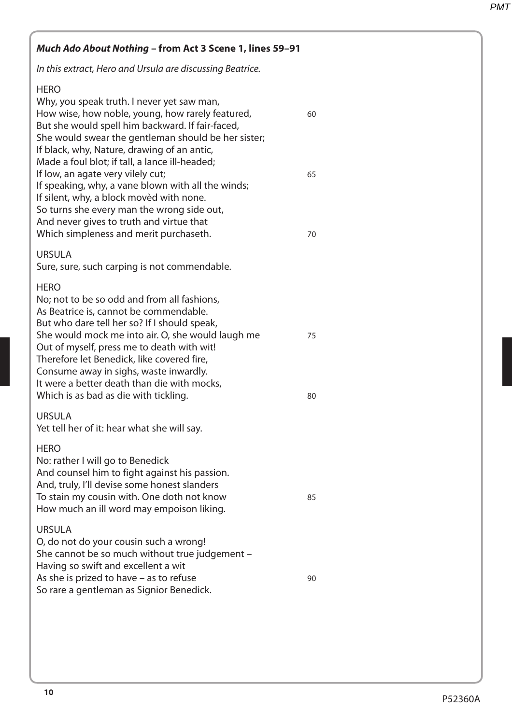| Much Ado About Nothing – from Act 3 Scene 1, lines 59–91                                                                                                                                                                                                                                                                                                                                                                                |          |
|-----------------------------------------------------------------------------------------------------------------------------------------------------------------------------------------------------------------------------------------------------------------------------------------------------------------------------------------------------------------------------------------------------------------------------------------|----------|
| In this extract, Hero and Ursula are discussing Beatrice.                                                                                                                                                                                                                                                                                                                                                                               |          |
| <b>HERO</b><br>Why, you speak truth. I never yet saw man,<br>How wise, how noble, young, how rarely featured,<br>But she would spell him backward. If fair-faced,<br>She would swear the gentleman should be her sister;<br>If black, why, Nature, drawing of an antic,<br>Made a foul blot; if tall, a lance ill-headed;<br>If low, an agate very vilely cut;<br>If speaking, why, a vane blown with all the winds;                    | 60<br>65 |
| If silent, why, a block moved with none.<br>So turns she every man the wrong side out,<br>And never gives to truth and virtue that<br>Which simpleness and merit purchaseth.                                                                                                                                                                                                                                                            | 70       |
| <b>URSULA</b><br>Sure, sure, such carping is not commendable.                                                                                                                                                                                                                                                                                                                                                                           |          |
| <b>HERO</b><br>No; not to be so odd and from all fashions,<br>As Beatrice is, cannot be commendable.<br>But who dare tell her so? If I should speak,<br>She would mock me into air. O, she would laugh me<br>Out of myself, press me to death with wit!<br>Therefore let Benedick, like covered fire,<br>Consume away in sighs, waste inwardly.<br>It were a better death than die with mocks,<br>Which is as bad as die with tickling. | 75<br>80 |
| <b>URSULA</b><br>Yet tell her of it: hear what she will say.                                                                                                                                                                                                                                                                                                                                                                            |          |
| <b>HERO</b><br>No: rather I will go to Benedick<br>And counsel him to fight against his passion.<br>And, truly, I'll devise some honest slanders<br>To stain my cousin with. One doth not know<br>How much an ill word may empoison liking.                                                                                                                                                                                             | 85       |
| <b>URSULA</b><br>O, do not do your cousin such a wrong!<br>She cannot be so much without true judgement -<br>Having so swift and excellent a wit<br>As she is prized to have - as to refuse<br>So rare a gentleman as Signior Benedick.                                                                                                                                                                                                 | 90       |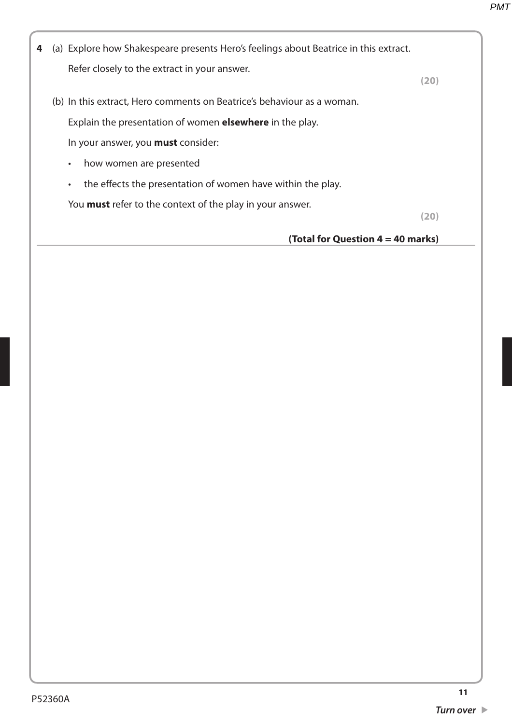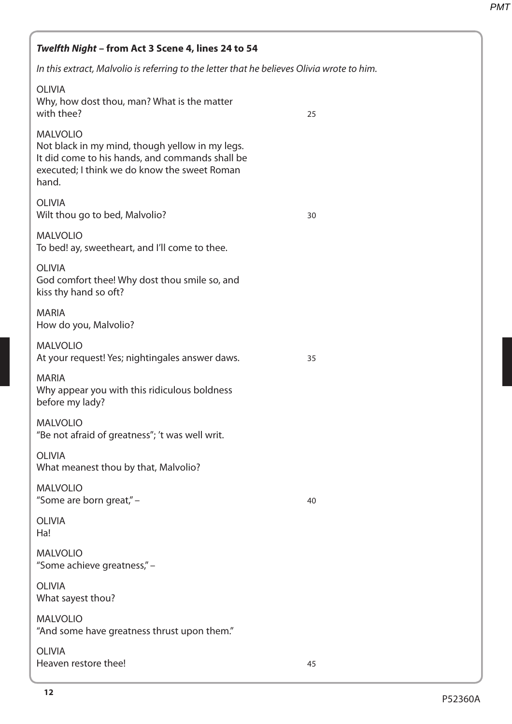| Twelfth Night - from Act 3 Scene 4, lines 24 to 54                                                                                                                             |    |
|--------------------------------------------------------------------------------------------------------------------------------------------------------------------------------|----|
| In this extract, Malvolio is referring to the letter that he believes Olivia wrote to him.                                                                                     |    |
| <b>OLIVIA</b><br>Why, how dost thou, man? What is the matter<br>with thee?                                                                                                     | 25 |
| <b>MALVOLIO</b><br>Not black in my mind, though yellow in my legs.<br>It did come to his hands, and commands shall be<br>executed; I think we do know the sweet Roman<br>hand. |    |
| <b>OLIVIA</b><br>Wilt thou go to bed, Malvolio?                                                                                                                                | 30 |
| <b>MALVOLIO</b><br>To bed! ay, sweetheart, and I'll come to thee.                                                                                                              |    |
| <b>OLIVIA</b><br>God comfort thee! Why dost thou smile so, and<br>kiss thy hand so oft?                                                                                        |    |
| <b>MARIA</b><br>How do you, Malvolio?                                                                                                                                          |    |
| <b>MALVOLIO</b><br>At your request! Yes; nightingales answer daws.                                                                                                             | 35 |
| <b>MARIA</b><br>Why appear you with this ridiculous boldness<br>before my lady?                                                                                                |    |
| <b>MALVOLIO</b><br>"Be not afraid of greatness"; 't was well writ.                                                                                                             |    |
| <b>OLIVIA</b><br>What meanest thou by that, Malvolio?                                                                                                                          |    |
| <b>MALVOLIO</b><br>"Some are born great," -                                                                                                                                    | 40 |
| <b>OLIVIA</b><br>Ha!                                                                                                                                                           |    |
| <b>MALVOLIO</b><br>"Some achieve greatness," -                                                                                                                                 |    |
| <b>OLIVIA</b><br>What sayest thou?                                                                                                                                             |    |
| <b>MALVOLIO</b><br>"And some have greatness thrust upon them."                                                                                                                 |    |
| <b>OLIVIA</b><br>Heaven restore thee!                                                                                                                                          | 45 |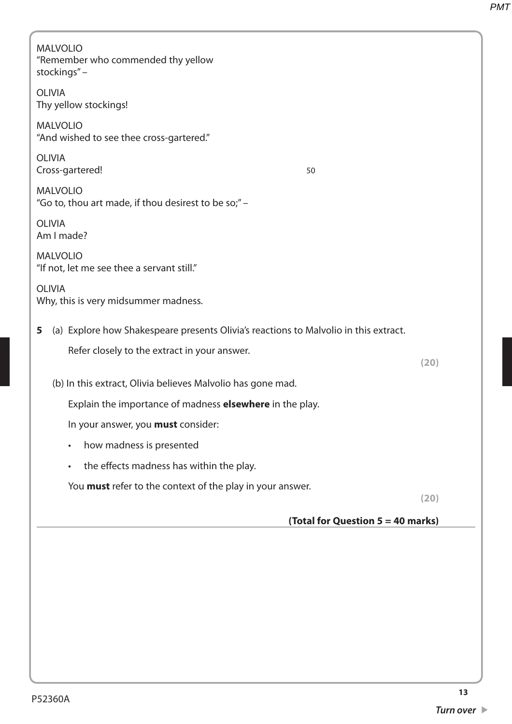| <b>MALVOLIO</b><br>"Remember who commended thy yellow<br>stockings"-                      |      |
|-------------------------------------------------------------------------------------------|------|
| <b>OLIVIA</b><br>Thy yellow stockings!                                                    |      |
| <b>MALVOLIO</b><br>"And wished to see thee cross-gartered."                               |      |
| <b>OLIVIA</b><br>Cross-gartered!<br>50                                                    |      |
| <b>MALVOLIO</b><br>"Go to, thou art made, if thou desirest to be so;" -                   |      |
| <b>OLIVIA</b><br>Am I made?                                                               |      |
| <b>MALVOLIO</b><br>"If not, let me see thee a servant still."                             |      |
| <b>OLIVIA</b><br>Why, this is very midsummer madness.                                     |      |
| (a) Explore how Shakespeare presents Olivia's reactions to Malvolio in this extract.<br>5 |      |
| Refer closely to the extract in your answer.                                              | (20) |
| (b) In this extract, Olivia believes Malvolio has gone mad.                               |      |
| Explain the importance of madness elsewhere in the play.                                  |      |
| In your answer, you must consider:                                                        |      |
| how madness is presented<br>$\bullet$                                                     |      |
| the effects madness has within the play.<br>$\bullet$                                     |      |
| You <b>must</b> refer to the context of the play in your answer.                          |      |
|                                                                                           | (20) |
| (Total for Question 5 = 40 marks)                                                         |      |
|                                                                                           |      |
|                                                                                           |      |
|                                                                                           |      |
|                                                                                           |      |
|                                                                                           |      |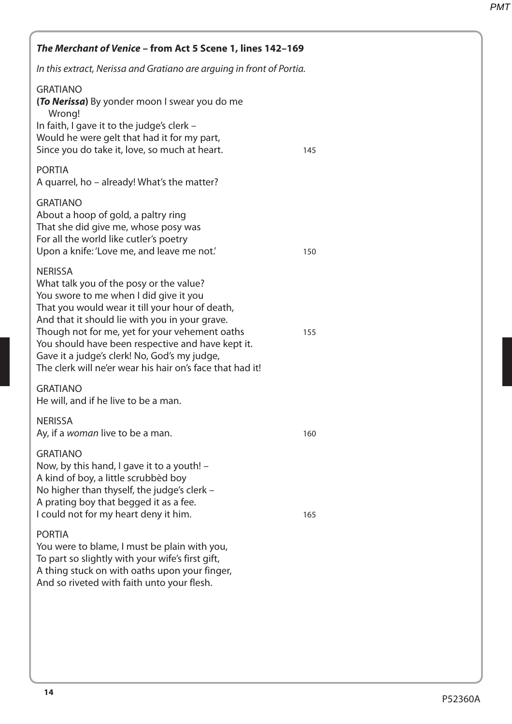| The Merchant of Venice - from Act 5 Scene 1, lines 142-169                                                                                                                                                                                                                                                                                                                                                                   |     |
|------------------------------------------------------------------------------------------------------------------------------------------------------------------------------------------------------------------------------------------------------------------------------------------------------------------------------------------------------------------------------------------------------------------------------|-----|
| In this extract, Nerissa and Gratiano are arguing in front of Portia.                                                                                                                                                                                                                                                                                                                                                        |     |
| <b>GRATIANO</b><br>(To Nerissa) By yonder moon I swear you do me<br>Wrong!<br>In faith, I gave it to the judge's clerk -<br>Would he were gelt that had it for my part,<br>Since you do take it, love, so much at heart.                                                                                                                                                                                                     | 145 |
| <b>PORTIA</b><br>A quarrel, ho - already! What's the matter?                                                                                                                                                                                                                                                                                                                                                                 |     |
| <b>GRATIANO</b><br>About a hoop of gold, a paltry ring<br>That she did give me, whose posy was<br>For all the world like cutler's poetry<br>Upon a knife: 'Love me, and leave me not.'                                                                                                                                                                                                                                       | 150 |
| <b>NERISSA</b><br>What talk you of the posy or the value?<br>You swore to me when I did give it you<br>That you would wear it till your hour of death,<br>And that it should lie with you in your grave.<br>Though not for me, yet for your vehement oaths<br>You should have been respective and have kept it.<br>Gave it a judge's clerk! No, God's my judge,<br>The clerk will ne'er wear his hair on's face that had it! | 155 |
| <b>GRATIANO</b><br>He will, and if he live to be a man.                                                                                                                                                                                                                                                                                                                                                                      |     |
| <b>NERISSA</b><br>Ay, if a woman live to be a man.                                                                                                                                                                                                                                                                                                                                                                           | 160 |
| <b>GRATIANO</b><br>Now, by this hand, I gave it to a youth! -<br>A kind of boy, a little scrubbed boy<br>No higher than thyself, the judge's clerk -<br>A prating boy that begged it as a fee.<br>I could not for my heart deny it him.                                                                                                                                                                                      | 165 |
| <b>PORTIA</b><br>You were to blame, I must be plain with you,<br>To part so slightly with your wife's first gift,<br>A thing stuck on with oaths upon your finger,<br>And so riveted with faith unto your flesh.                                                                                                                                                                                                             |     |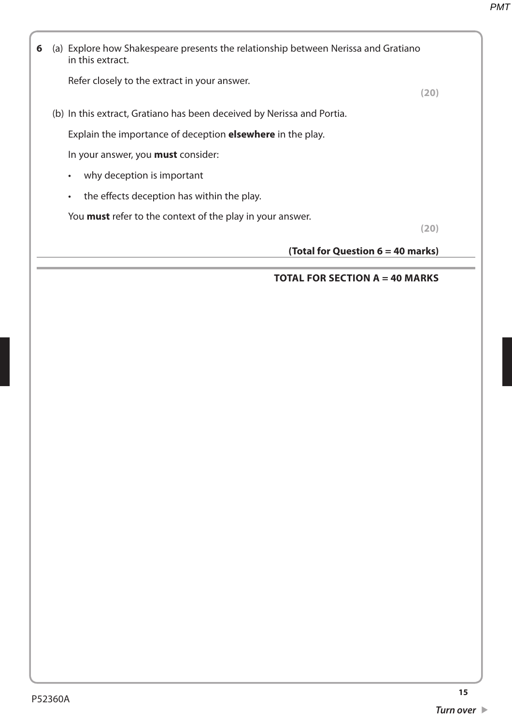|   | (Total for Question $6 = 40$ marks)                                                                    |      |
|---|--------------------------------------------------------------------------------------------------------|------|
|   |                                                                                                        | (20) |
|   | You <b>must</b> refer to the context of the play in your answer.                                       |      |
|   | the effects deception has within the play.<br>$\bullet$                                                |      |
|   | why deception is important<br>$\bullet$                                                                |      |
|   | In your answer, you <b>must</b> consider:                                                              |      |
|   | Explain the importance of deception <b>elsewhere</b> in the play.                                      |      |
|   | (b) In this extract, Gratiano has been deceived by Nerissa and Portia.                                 |      |
|   |                                                                                                        | (20) |
|   | Refer closely to the extract in your answer.                                                           |      |
| 6 | (a) Explore how Shakespeare presents the relationship between Nerissa and Gratiano<br>in this extract. |      |
|   |                                                                                                        |      |

## **TOTAL FOR SECTION A = 40 MARKS**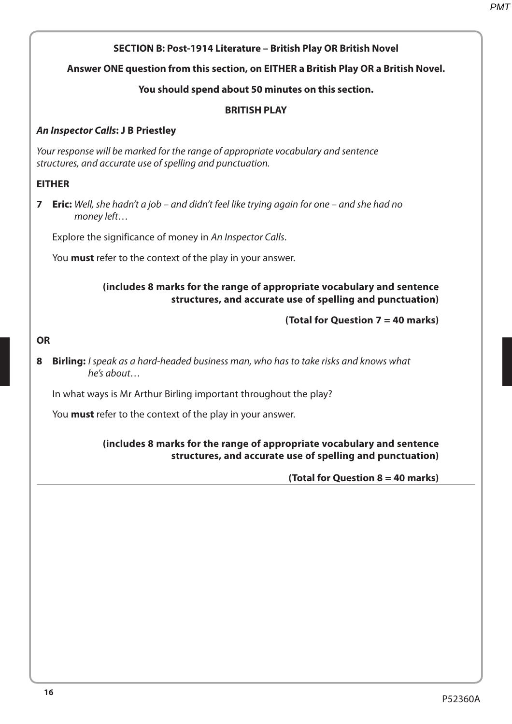## **SECTION B: Post-1914 Literature – British Play OR British Novel**

## **Answer ONE question from this section, on EITHER a British Play OR a British Novel.**

## **You should spend about 50 minutes on this section.**

## **BRITISH PLAY**

## *An Inspector Calls***: J B Priestley**

Your response will be marked for the range of appropriate vocabulary and sentence structures, and accurate use of spelling and punctuation.

## **EITHER**

**7 Eric:** Well, she hadn't a job – and didn't feel like trying again for one – and she had no money left…

Explore the significance of money in An Inspector Calls.

You **must** refer to the context of the play in your answer.

## **(includes 8 marks for the range of appropriate vocabulary and sentence structures, and accurate use of spelling and punctuation)**

**(Total for Question 7 = 40 marks)**

#### **OR**

**8 Birling:** I speak as a hard-headed business man, who has to take risks and knows what he's about…

In what ways is Mr Arthur Birling important throughout the play?

You **must** refer to the context of the play in your answer.

#### **(includes 8 marks for the range of appropriate vocabulary and sentence structures, and accurate use of spelling and punctuation)**

**(Total for Question 8 = 40 marks)**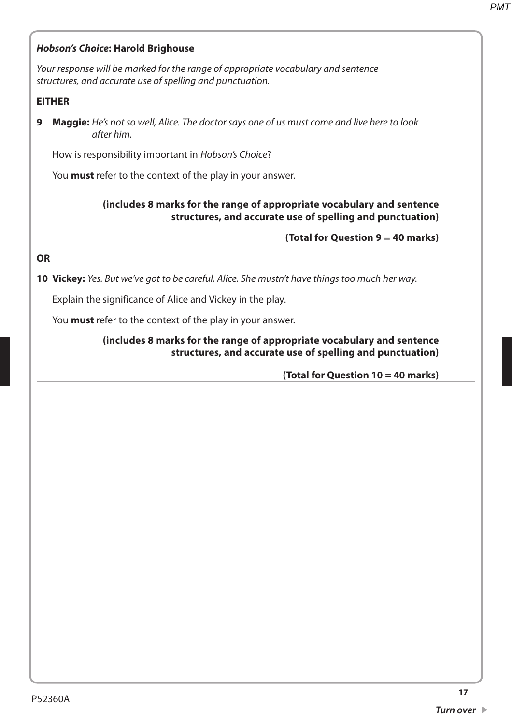## *Hobson's Choice***: Harold Brighouse**

Your response will be marked for the range of appropriate vocabulary and sentence structures, and accurate use of spelling and punctuation.

## **EITHER**

**9 Maggie:** He's not so well, Alice. The doctor says one of us must come and live here to look after him.

How is responsibility important in Hobson's Choice?

You **must** refer to the context of the play in your answer.

#### **(includes 8 marks for the range of appropriate vocabulary and sentence structures, and accurate use of spelling and punctuation)**

**(Total for Question 9 = 40 marks)**

## **OR**

**10 Vickey:** Yes. But we've got to be careful, Alice. She mustn't have things too much her way.

Explain the significance of Alice and Vickey in the play.

You **must** refer to the context of the play in your answer.

#### **(includes 8 marks for the range of appropriate vocabulary and sentence structures, and accurate use of spelling and punctuation)**

**(Total for Question 10 = 40 marks)**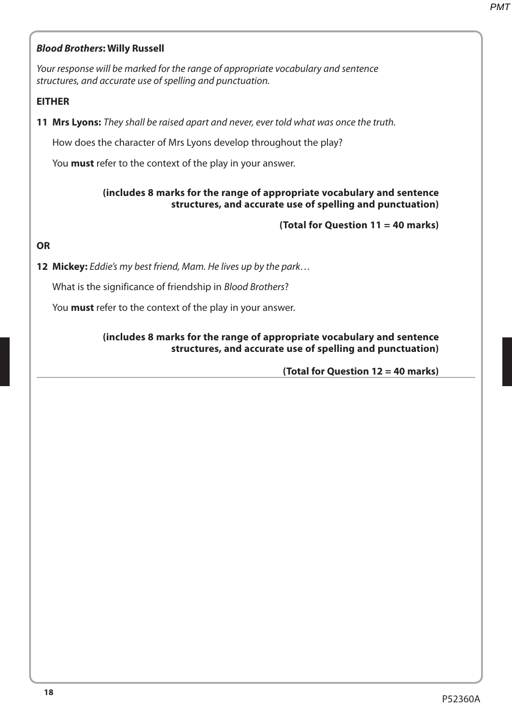## *Blood Brothers***: Willy Russell**

Your response will be marked for the range of appropriate vocabulary and sentence structures, and accurate use of spelling and punctuation.

#### **EITHER**

**11 Mrs Lyons:** They shall be raised apart and never, ever told what was once the truth.

How does the character of Mrs Lyons develop throughout the play?

You **must** refer to the context of the play in your answer.

#### **(includes 8 marks for the range of appropriate vocabulary and sentence structures, and accurate use of spelling and punctuation)**

**(Total for Question 11 = 40 marks)**

#### **OR**

**12 Mickey:** Eddie's my best friend, Mam. He lives up by the park…

What is the significance of friendship in Blood Brothers?

You **must** refer to the context of the play in your answer.

**(includes 8 marks for the range of appropriate vocabulary and sentence structures, and accurate use of spelling and punctuation)**

**(Total for Question 12 = 40 marks)**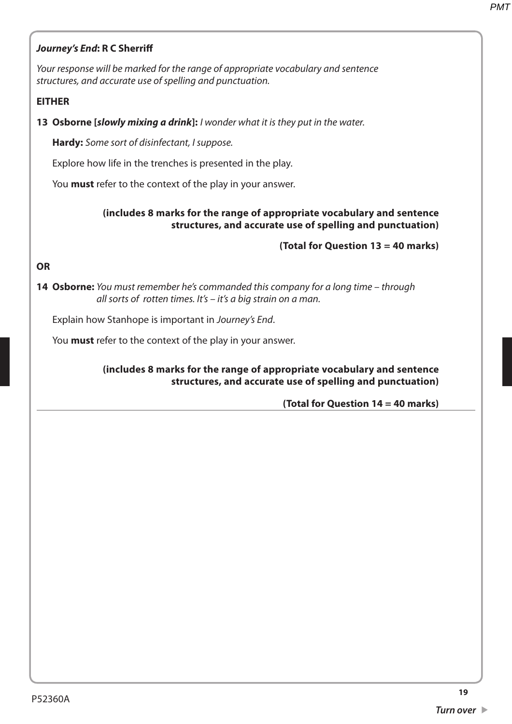## *Journey's End***: R C Sherriff**

Your response will be marked for the range of appropriate vocabulary and sentence structures, and accurate use of spelling and punctuation.

## **EITHER**

**13 Osborne [***slowly mixing a drink***]:** I wonder what it is they put in the water.

**Hardy:** Some sort of disinfectant, I suppose.

Explore how life in the trenches is presented in the play.

You **must** refer to the context of the play in your answer.

## **(includes 8 marks for the range of appropriate vocabulary and sentence structures, and accurate use of spelling and punctuation)**

#### **(Total for Question 13 = 40 marks)**

#### **OR**

**14 Osborne:**You must remember he's commanded this company for a long time – through all sorts of rotten times. It's  $-$  it's a big strain on a man.

Explain how Stanhope is important in Journey's End.

You **must** refer to the context of the play in your answer.

**(includes 8 marks for the range of appropriate vocabulary and sentence structures, and accurate use of spelling and punctuation)**

**(Total for Question 14 = 40 marks)**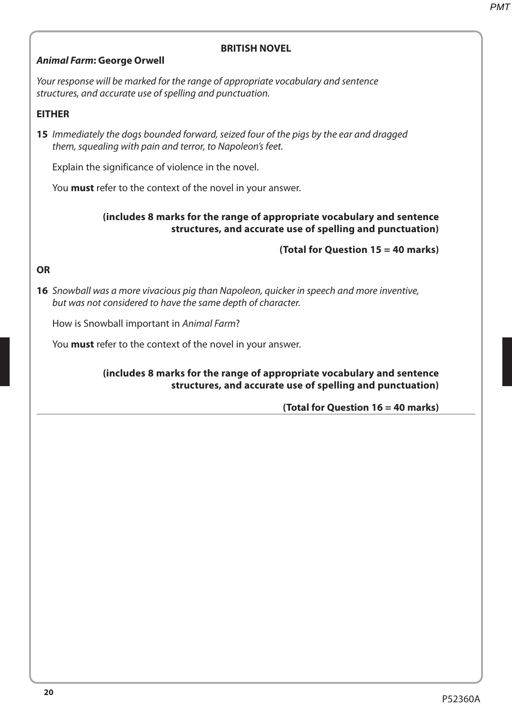#### **BRITISH NOVEL**

#### *Animal Farm***: George Orwell**

Your response will be marked for the range of appropriate vocabulary and sentence structures, and accurate use of spelling and punctuation.

#### **EITHER**

**15** Immediately the dogs bounded forward, seized four of the pigs by the ear and dragged them, squealing with pain and terror, to Napoleon's feet.

Explain the significance of violence in the novel.

You **must** refer to the context of the novel in your answer.

#### **(includes 8 marks for the range of appropriate vocabulary and sentence structures, and accurate use of spelling and punctuation)**

#### **(Total for Question 15 = 40 marks)**

#### **OR**

**16** Snowball was a more vivacious pig than Napoleon, quicker in speech and more inventive, but was not considered to have the same depth of character.

How is Snowball important in Animal Farm?

You **must** refer to the context of the novel in your answer.

**(includes 8 marks for the range of appropriate vocabulary and sentence structures, and accurate use of spelling and punctuation)**

**(Total for Question 16 = 40 marks)**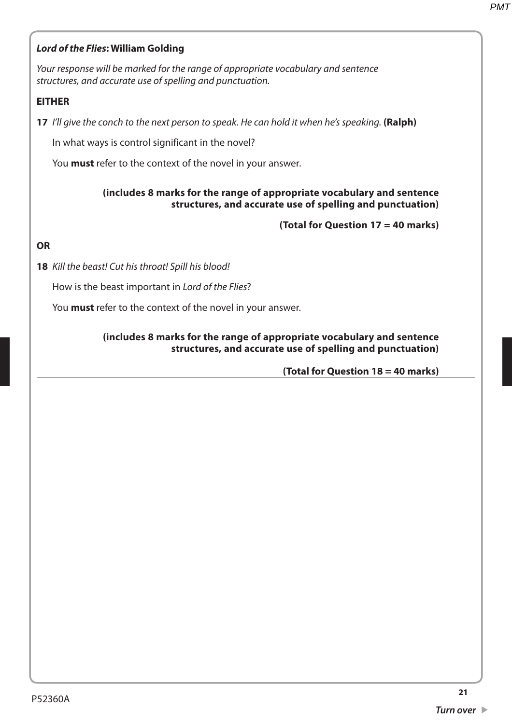## *Lord of the Flies***: William Golding**

Your response will be marked for the range of appropriate vocabulary and sentence structures, and accurate use of spelling and punctuation.

## **EITHER**

**17** I'll give the conch to the next person to speak. He can hold it when he's speaking. **(Ralph)** 

In what ways is control significant in the novel?

You **must** refer to the context of the novel in your answer.

#### **(includes 8 marks for the range of appropriate vocabulary and sentence structures, and accurate use of spelling and punctuation)**

**(Total for Question 17 = 40 marks)**

## **OR**

18 Kill the beast! Cut his throat! Spill his blood!

How is the beast important in Lord of the Flies?

You **must** refer to the context of the novel in your answer.

#### **(includes 8 marks for the range of appropriate vocabulary and sentence structures, and accurate use of spelling and punctuation)**

**(Total for Question 18 = 40 marks)**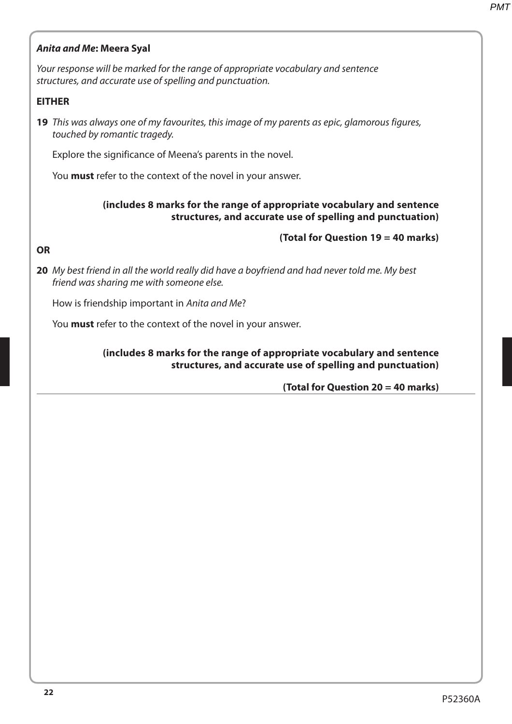## *Anita and Me***: Meera Syal**

Your response will be marked for the range of appropriate vocabulary and sentence structures, and accurate use of spelling and punctuation.

#### **EITHER**

**19** This was always one of my favourites, this image of my parents as epic, glamorous figures, touched by romantic tragedy.

Explore the significance of Meena's parents in the novel.

You **must** refer to the context of the novel in your answer.

#### **(includes 8 marks for the range of appropriate vocabulary and sentence structures, and accurate use of spelling and punctuation)**

#### **(Total for Question 19 = 40 marks)**

#### **OR**

**20** My best friend in all the world really did have a boyfriend and had never told me. My best friend was sharing me with someone else.

How is friendship important in Anita and Me?

You **must** refer to the context of the novel in your answer.

#### **(includes 8 marks for the range of appropriate vocabulary and sentence structures, and accurate use of spelling and punctuation)**

 **(Total for Question 20 = 40 marks)**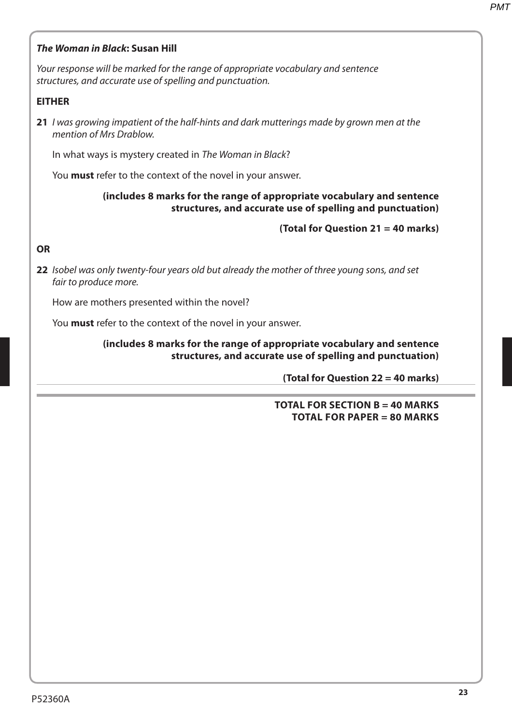## *The Woman in Black***: Susan Hill**

Your response will be marked for the range of appropriate vocabulary and sentence structures, and accurate use of spelling and punctuation.

#### **EITHER**

**21** I was growing impatient of the half-hints and dark mutterings made by grown men at the mention of Mrs Drablow.

In what ways is mystery created in The Woman in Black?

You **must** refer to the context of the novel in your answer.

#### **(includes 8 marks for the range of appropriate vocabulary and sentence structures, and accurate use of spelling and punctuation)**

**(Total for Question 21 = 40 marks)**

#### **OR**

**22** Isobel was only twenty-four years old but already the mother of three young sons, and set fair to produce more.

How are mothers presented within the novel?

You **must** refer to the context of the novel in your answer.

#### **(includes 8 marks for the range of appropriate vocabulary and sentence structures, and accurate use of spelling and punctuation)**

**(Total for Question 22 = 40 marks)**

**TOTAL FOR SECTION B = 40 MARKS TOTAL FOR PAPER = 80 MARKS**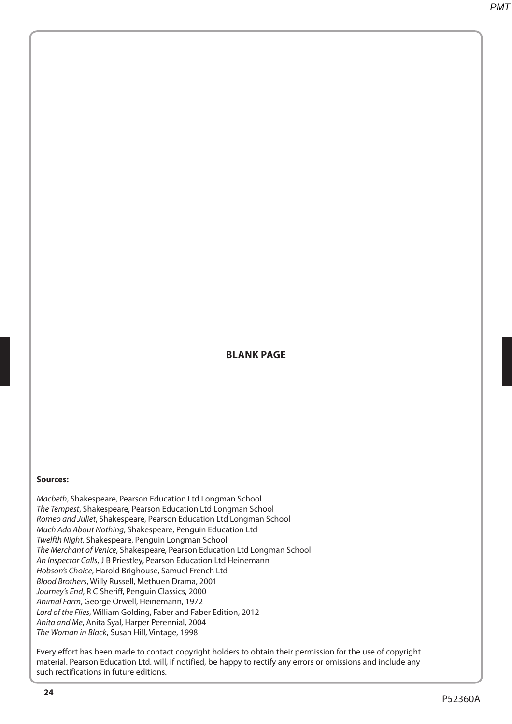#### **BLANK PAGE**

#### **Sources:**

Macbeth, Shakespeare, Pearson Education Ltd Longman School The Tempest, Shakespeare, Pearson Education Ltd Longman School Romeo and Juliet, Shakespeare, Pearson Education Ltd Longman School Much Ado About Nothing, Shakespeare, Penguin Education Ltd Twelfth Night, Shakespeare, Penguin Longman School The Merchant of Venice, Shakespeare, Pearson Education Ltd Longman School An Inspector Calls, J B Priestley, Pearson Education Ltd Heinemann Hobson's Choice, Harold Brighouse, Samuel French Ltd Blood Brothers, Willy Russell, Methuen Drama, 2001 Journey's End, R C Sheriff, Penguin Classics, 2000 Animal Farm, George Orwell, Heinemann, 1972 Lord of the Flies, William Golding, Faber and Faber Edition, 2012 Anita and Me, Anita Syal, Harper Perennial, 2004 The Woman in Black, Susan Hill, Vintage, 1998

Every effort has been made to contact copyright holders to obtain their permission for the use of copyright material. Pearson Education Ltd. will, if notified, be happy to rectify any errors or omissions and include any such rectifications in future editions.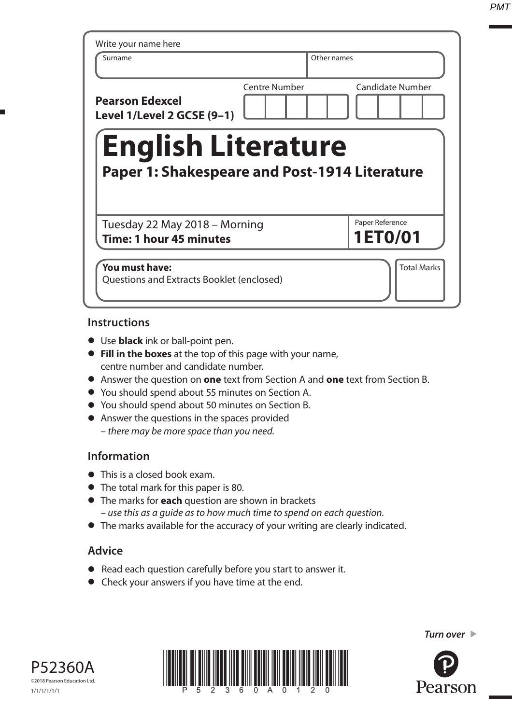| Write your name here<br>Surname                                                   |                      | Other names |                         |
|-----------------------------------------------------------------------------------|----------------------|-------------|-------------------------|
| <b>Pearson Edexcel</b><br>Level 1/Level 2 GCSE (9-1)                              | <b>Centre Number</b> |             | <b>Candidate Number</b> |
|                                                                                   |                      |             |                         |
| <b>English Literature</b><br><b>Paper 1: Shakespeare and Post-1914 Literature</b> |                      |             |                         |
| Tuesday 22 May 2018 - Morning                                                     |                      |             | Paper Reference         |
| <b>Time: 1 hour 45 minutes</b>                                                    |                      |             | <b>1ET0/01</b>          |

## **Instructions**

- **•** Use **black** ink or ball-point pen.
- **• Fill in the boxes** at the top of this page with your name, centre number and candidate number.
- **•** Answer the question on **one** text from Section A and **one** text from Section B.
- Answer the question on **one** text from Section A a<br>• You should spend about 55 minutes on Section A. • You should spend about 55 minutes on Section A.<br>• You should spend about 50 minutes on Section B.
- 
- **•** Answer the questions in the spaces provided

– there may be more space than you need.

## **Information**

- **•** This is a closed book exam.
- **•** The total mark for this paper is 80.
- **•** The marks for **each** question are shown in brackets – use this as a guide as to how much time to spend on each question.
- **•** The marks available for the accuracy of your writing are clearly indicated.

## **Advice**

- **•** Read each question carefully before you start to answer it.
- **•** Check your answers if you have time at the end.





*Turn over* 

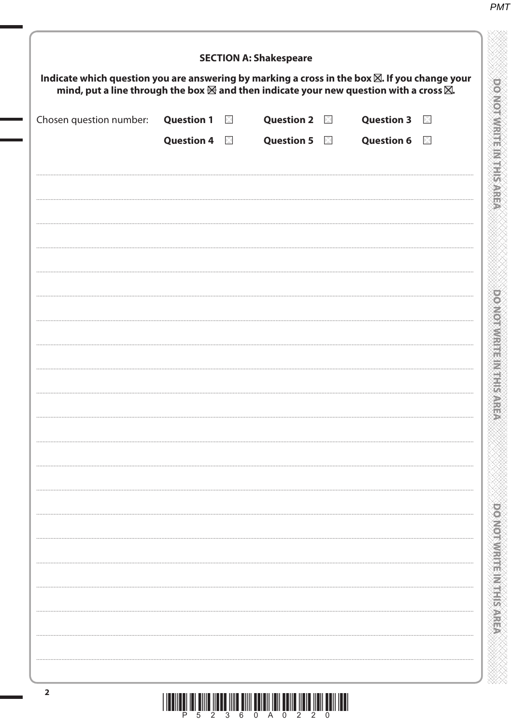| <b>SECTION A: Shakespeare</b><br>Indicate which question you are answering by marking a cross in the box $\boxtimes$ . If you change your<br>mind, put a line through the box $\boxtimes$ and then indicate your new question with a cross $\boxtimes$ . |                                 |              |                          |  |                                        |                         |
|----------------------------------------------------------------------------------------------------------------------------------------------------------------------------------------------------------------------------------------------------------|---------------------------------|--------------|--------------------------|--|----------------------------------------|-------------------------|
| Chosen question number:                                                                                                                                                                                                                                  | <b>Question 1</b><br>Question 4 | $\mathsf{X}$ | Question 2<br>Question 5 |  | <b>Question 3</b><br><b>Question 6</b> | $\boxtimes$<br>$\times$ |
|                                                                                                                                                                                                                                                          |                                 |              |                          |  |                                        |                         |
|                                                                                                                                                                                                                                                          |                                 |              |                          |  |                                        |                         |
|                                                                                                                                                                                                                                                          |                                 |              |                          |  |                                        |                         |
|                                                                                                                                                                                                                                                          |                                 |              |                          |  |                                        |                         |
|                                                                                                                                                                                                                                                          |                                 |              |                          |  |                                        | .                       |
|                                                                                                                                                                                                                                                          |                                 |              |                          |  |                                        |                         |
|                                                                                                                                                                                                                                                          |                                 |              |                          |  |                                        |                         |

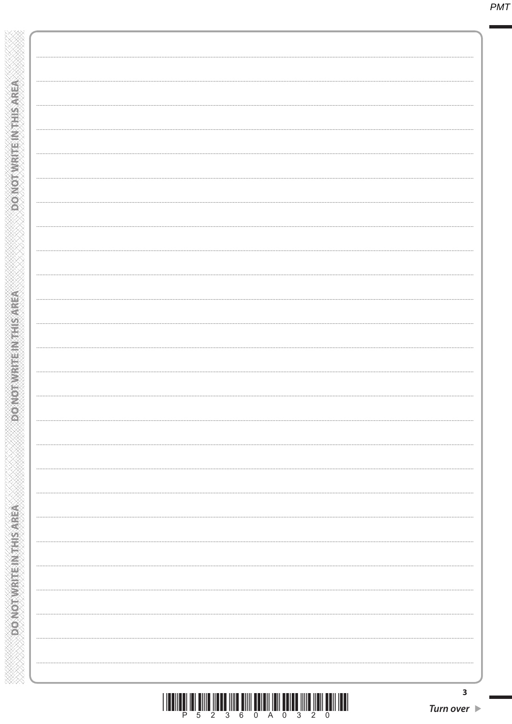| <br><br><br><br><br><b>COL</b><br><b>VERWEIT ANGELING CONGRE</b> |  |
|------------------------------------------------------------------|--|
|                                                                  |  |
|                                                                  |  |
|                                                                  |  |
|                                                                  |  |
|                                                                  |  |
|                                                                  |  |
|                                                                  |  |
|                                                                  |  |
|                                                                  |  |
|                                                                  |  |
|                                                                  |  |
|                                                                  |  |
|                                                                  |  |
|                                                                  |  |
|                                                                  |  |
|                                                                  |  |
|                                                                  |  |
|                                                                  |  |
|                                                                  |  |
|                                                                  |  |
|                                                                  |  |
|                                                                  |  |
|                                                                  |  |
|                                                                  |  |
|                                                                  |  |
|                                                                  |  |
|                                                                  |  |
|                                                                  |  |
|                                                                  |  |
|                                                                  |  |
|                                                                  |  |
|                                                                  |  |
|                                                                  |  |
|                                                                  |  |
|                                                                  |  |
|                                                                  |  |
|                                                                  |  |
|                                                                  |  |
|                                                                  |  |
|                                                                  |  |
|                                                                  |  |
|                                                                  |  |
|                                                                  |  |
|                                                                  |  |
|                                                                  |  |
|                                                                  |  |
|                                                                  |  |
|                                                                  |  |
|                                                                  |  |
|                                                                  |  |
|                                                                  |  |
|                                                                  |  |
|                                                                  |  |
|                                                                  |  |
|                                                                  |  |
|                                                                  |  |
|                                                                  |  |
|                                                                  |  |
|                                                                  |  |
|                                                                  |  |
|                                                                  |  |
|                                                                  |  |
|                                                                  |  |
|                                                                  |  |
|                                                                  |  |
|                                                                  |  |
|                                                                  |  |
|                                                                  |  |
|                                                                  |  |
|                                                                  |  |
|                                                                  |  |
|                                                                  |  |
|                                                                  |  |
|                                                                  |  |
|                                                                  |  |
|                                                                  |  |
|                                                                  |  |
|                                                                  |  |
|                                                                  |  |
|                                                                  |  |
|                                                                  |  |
|                                                                  |  |
|                                                                  |  |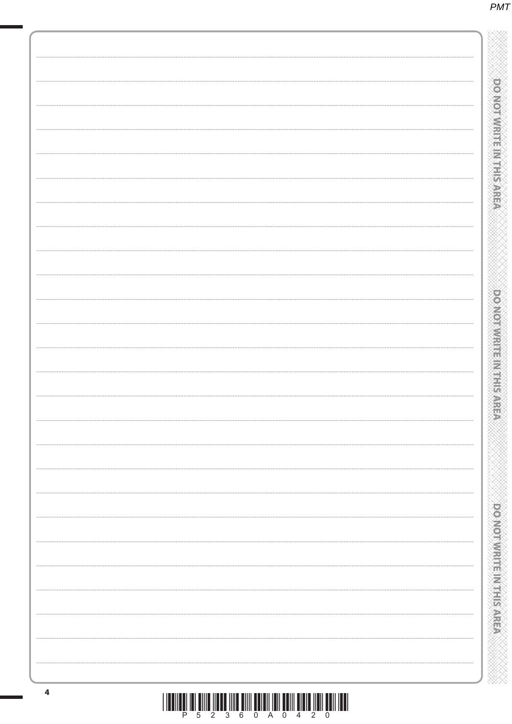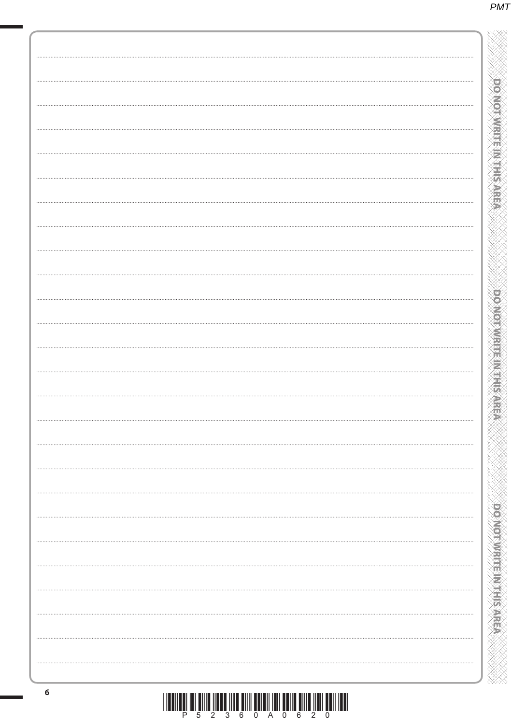|  |  | . |
|--|--|---|
|  |  |   |
|  |  |   |
|  |  |   |
|  |  |   |
|  |  |   |
|  |  |   |
|  |  |   |
|  |  |   |
|  |  |   |
|  |  |   |
|  |  |   |
|  |  |   |
|  |  |   |
|  |  |   |
|  |  |   |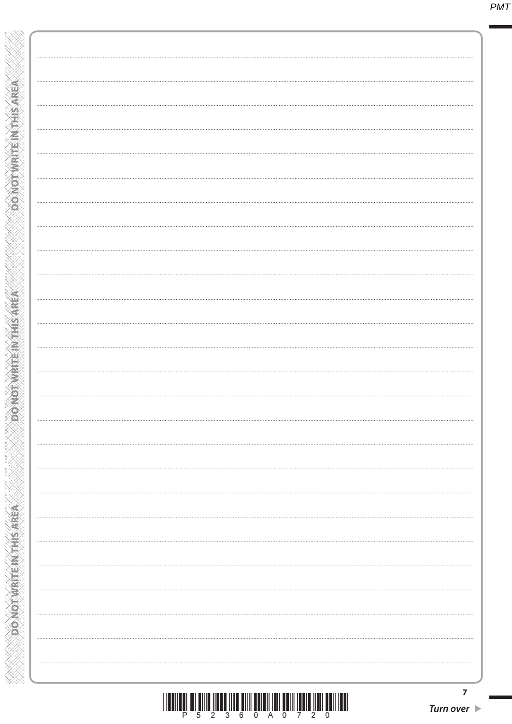| <b>MERING ENGINEERING CONCORD</b> |  |
|-----------------------------------|--|
|                                   |  |
|                                   |  |
|                                   |  |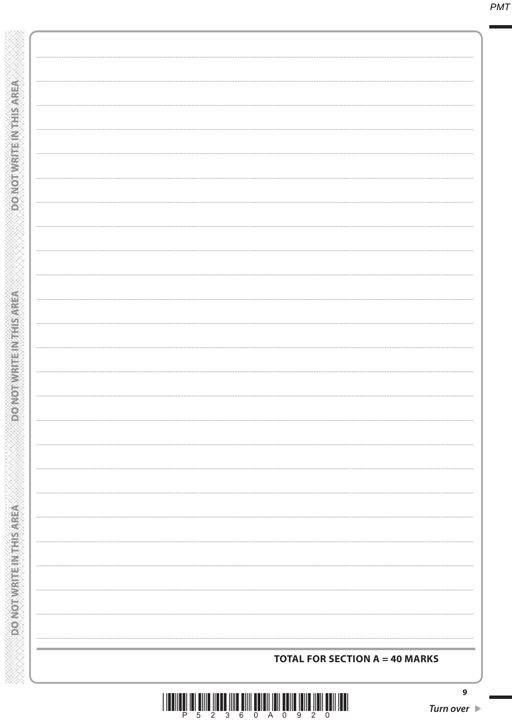|  |  | <b>TOTAL FOR SECTION A = 40 MARKS</b> |  |
|--|--|---------------------------------------|--|
|  |  |                                       |  |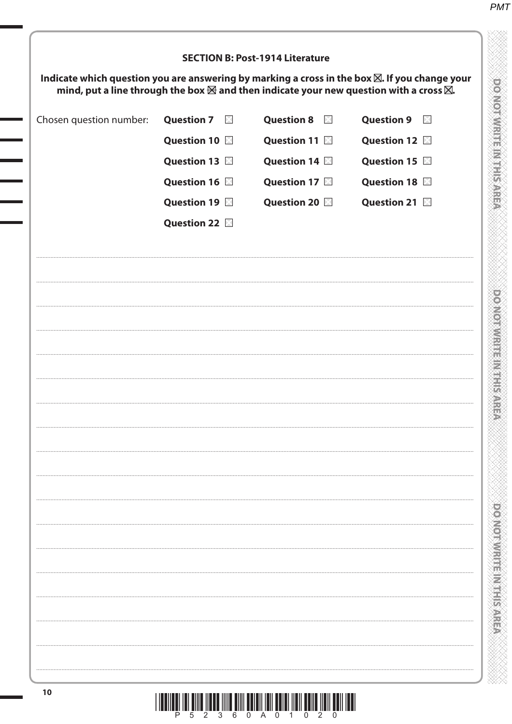|                                                                                                                                                                                                                         |             | <b>SECTION B: Post-1914 Literature</b> |                               |  |  |  |
|-------------------------------------------------------------------------------------------------------------------------------------------------------------------------------------------------------------------------|-------------|----------------------------------------|-------------------------------|--|--|--|
| Indicate which question you are answering by marking a cross in the box $\boxtimes$ . If you change your<br>mind, put a line through the box $\boxtimes$ and then indicate your new question with a cross $\boxtimes$ . |             |                                        |                               |  |  |  |
| Chosen question number:                                                                                                                                                                                                 | Question 7  | Question 8                             | <b>Question 9</b><br>$\times$ |  |  |  |
|                                                                                                                                                                                                                         | Question 10 | Question 11                            | Question 12                   |  |  |  |
|                                                                                                                                                                                                                         | Question 13 | Question 14                            | Question 15                   |  |  |  |
|                                                                                                                                                                                                                         | Question 16 | Question 17                            | Question 18                   |  |  |  |
|                                                                                                                                                                                                                         | Question 19 | Question 20                            | Question 21                   |  |  |  |
|                                                                                                                                                                                                                         | Question 22 |                                        |                               |  |  |  |
|                                                                                                                                                                                                                         |             |                                        |                               |  |  |  |
|                                                                                                                                                                                                                         |             |                                        |                               |  |  |  |
|                                                                                                                                                                                                                         |             |                                        |                               |  |  |  |
|                                                                                                                                                                                                                         |             |                                        |                               |  |  |  |
|                                                                                                                                                                                                                         |             |                                        |                               |  |  |  |
|                                                                                                                                                                                                                         |             |                                        |                               |  |  |  |
|                                                                                                                                                                                                                         |             |                                        |                               |  |  |  |
|                                                                                                                                                                                                                         |             |                                        |                               |  |  |  |
|                                                                                                                                                                                                                         |             |                                        |                               |  |  |  |
|                                                                                                                                                                                                                         |             |                                        |                               |  |  |  |
|                                                                                                                                                                                                                         |             |                                        |                               |  |  |  |
|                                                                                                                                                                                                                         |             |                                        |                               |  |  |  |
|                                                                                                                                                                                                                         |             |                                        |                               |  |  |  |
|                                                                                                                                                                                                                         |             |                                        |                               |  |  |  |
|                                                                                                                                                                                                                         |             |                                        |                               |  |  |  |
|                                                                                                                                                                                                                         |             |                                        |                               |  |  |  |
|                                                                                                                                                                                                                         |             |                                        |                               |  |  |  |
|                                                                                                                                                                                                                         |             |                                        |                               |  |  |  |
|                                                                                                                                                                                                                         |             |                                        |                               |  |  |  |
|                                                                                                                                                                                                                         |             |                                        |                               |  |  |  |
|                                                                                                                                                                                                                         |             |                                        |                               |  |  |  |
|                                                                                                                                                                                                                         |             |                                        |                               |  |  |  |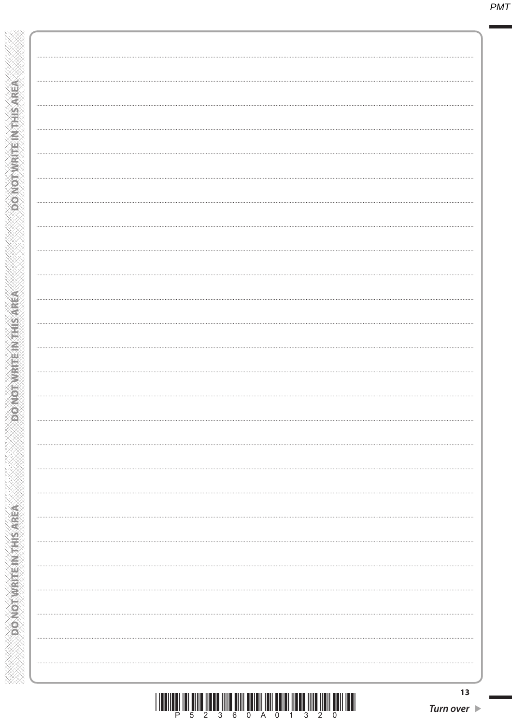| <b>DOMOTMARESM RELISAREA</b> |  |
|------------------------------|--|
|                              |  |
|                              |  |
|                              |  |
|                              |  |
|                              |  |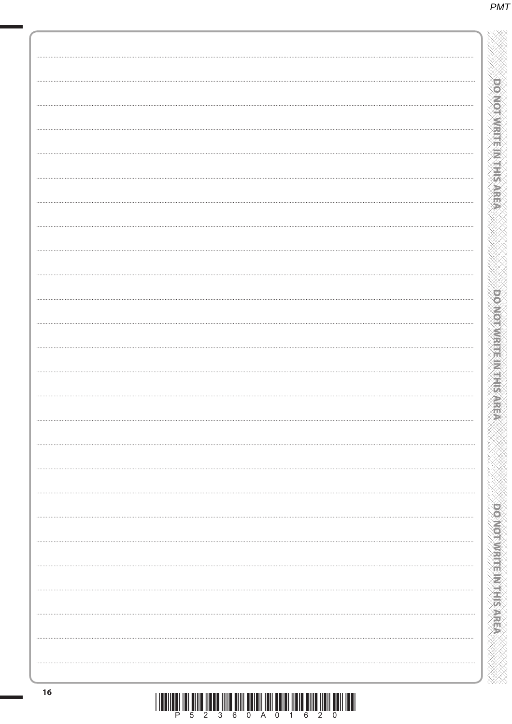|    | <b>DOOVOOR WEBSTERS AND AND TO</b> |
|----|------------------------------------|
|    |                                    |
|    |                                    |
|    | .                                  |
|    |                                    |
|    |                                    |
|    |                                    |
|    |                                    |
|    |                                    |
|    |                                    |
|    | <b>PONDATION</b> CONTROL           |
|    |                                    |
|    |                                    |
|    |                                    |
|    |                                    |
|    |                                    |
|    |                                    |
|    |                                    |
|    |                                    |
|    | .                                  |
|    |                                    |
|    |                                    |
|    |                                    |
|    |                                    |
|    | <b>DONOMANT REMARKS AREA</b>       |
|    |                                    |
|    |                                    |
| 16 |                                    |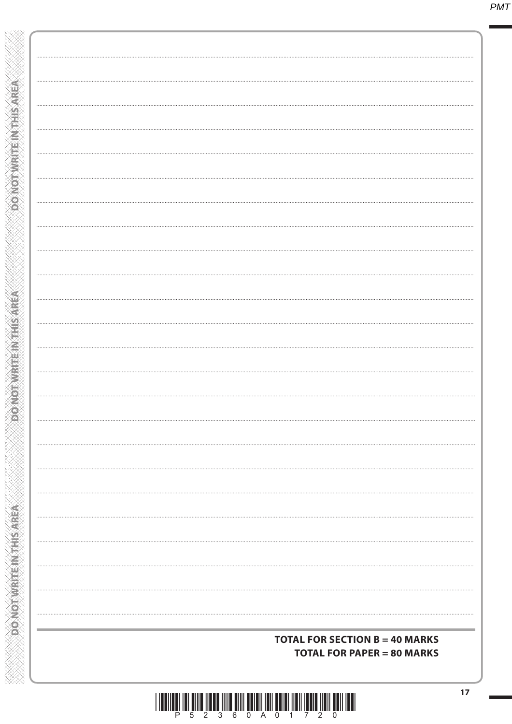| <b>VERNESI HISTORICI DI CONCO</b> |                                       |
|-----------------------------------|---------------------------------------|
|                                   | <b>TOTAL FOR SECTION B = 40 MARKS</b> |
|                                   |                                       |
|                                   |                                       |
|                                   | <b>TOTAL FOR PAPER = 80 MARKS</b>     |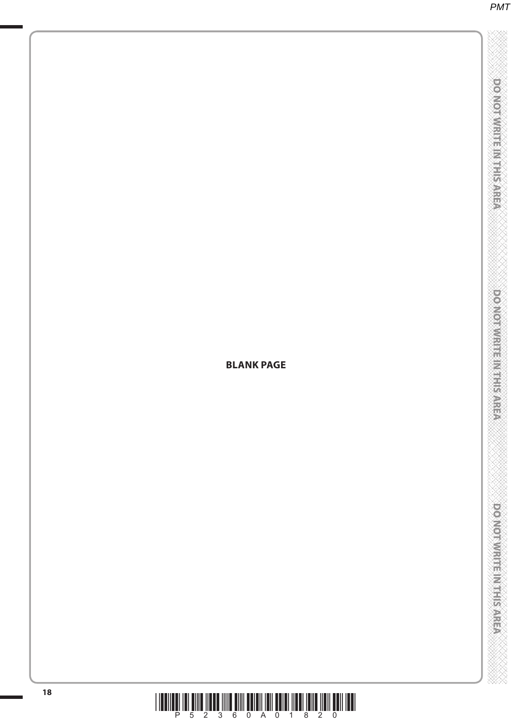**DONOTIVIRITIE INTERNATION** 

XXXXXXXXXXXXXX

888.

XXXX

XXXX

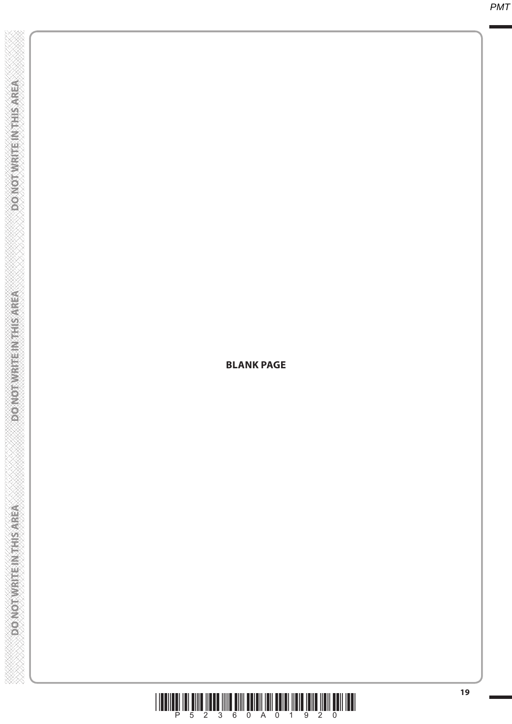**DONORVIRTEINTHIS AREA**